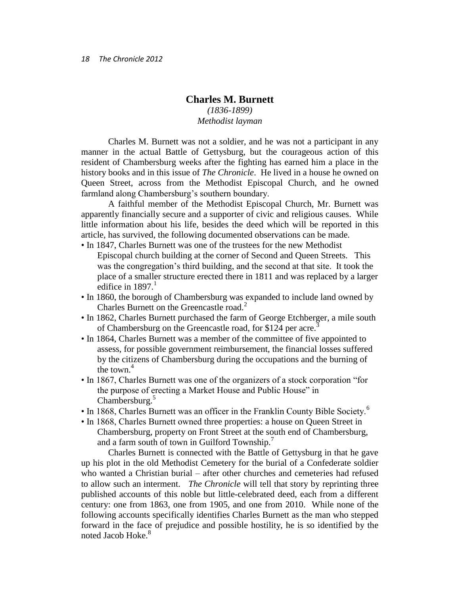## **Charles M. Burnett**

## *(1836-1899) Methodist layman*

Charles M. Burnett was not a soldier, and he was not a participant in any manner in the actual Battle of Gettysburg, but the courageous action of this resident of Chambersburg weeks after the fighting has earned him a place in the history books and in this issue of *The Chronicle*. He lived in a house he owned on Queen Street, across from the Methodist Episcopal Church, and he owned farmland along Chambersburg's southern boundary.

A faithful member of the Methodist Episcopal Church, Mr. Burnett was apparently financially secure and a supporter of civic and religious causes. While little information about his life, besides the deed which will be reported in this article, has survived, the following documented observations can be made.

- In 1847, Charles Burnett was one of the trustees for the new Methodist Episcopal church building at the corner of Second and Queen Streets. This was the congregation's third building, and the second at that site. It took the place of a smaller structure erected there in 1811 and was replaced by a larger edifice in  $1897<sup>1</sup>$
- In 1860, the borough of Chambersburg was expanded to include land owned by Charles Burnett on the Greencastle road.<sup>2</sup>
- In 1862, Charles Burnett purchased the farm of George Etchberger, a mile south of Chambersburg on the Greencastle road, for \$124 per acre.<sup>3</sup>
- In 1864, Charles Burnett was a member of the committee of five appointed to assess, for possible government reimbursement, the financial losses suffered by the citizens of Chambersburg during the occupations and the burning of the town  $4$
- In 1867, Charles Burnett was one of the organizers of a stock corporation "for the purpose of erecting a Market House and Public House" in Chambersburg.<sup>5</sup>
- In 1868, Charles Burnett was an officer in the Franklin County Bible Society.<sup>6</sup>
- In 1868, Charles Burnett owned three properties: a house on Queen Street in Chambersburg, property on Front Street at the south end of Chambersburg, and a farm south of town in Guilford Township.<sup>7</sup>

Charles Burnett is connected with the Battle of Gettysburg in that he gave up his plot in the old Methodist Cemetery for the burial of a Confederate soldier who wanted a Christian burial – after other churches and cemeteries had refused to allow such an interment. *The Chronicle* will tell that story by reprinting three published accounts of this noble but little-celebrated deed, each from a different century: one from 1863, one from 1905, and one from 2010. While none of the following accounts specifically identifies Charles Burnett as the man who stepped forward in the face of prejudice and possible hostility, he is so identified by the noted Jacob Hoke.<sup>8</sup>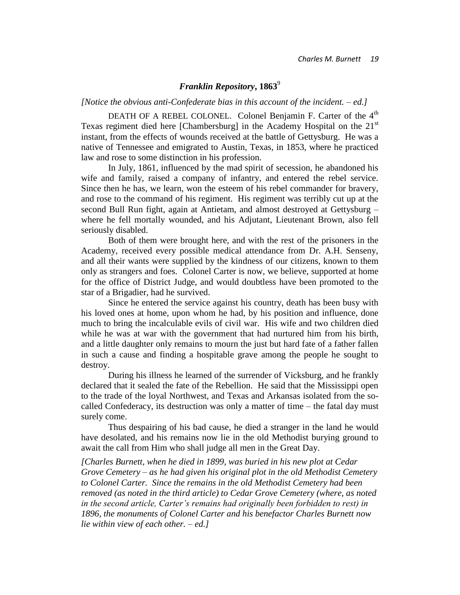# *Franklin Repository***, 1863**<sup>9</sup>

### *[Notice the obvious anti-Confederate bias in this account of the incident. – ed.]*

DEATH OF A REBEL COLONEL. Colonel Benjamin F. Carter of the 4<sup>th</sup> Texas regiment died here [Chambersburg] in the Academy Hospital on the  $21<sup>st</sup>$ instant, from the effects of wounds received at the battle of Gettysburg. He was a native of Tennessee and emigrated to Austin, Texas, in 1853, where he practiced law and rose to some distinction in his profession.

In July, 1861, influenced by the mad spirit of secession, he abandoned his wife and family, raised a company of infantry, and entered the rebel service. Since then he has, we learn, won the esteem of his rebel commander for bravery, and rose to the command of his regiment. His regiment was terribly cut up at the second Bull Run fight, again at Antietam, and almost destroyed at Gettysburg – where he fell mortally wounded, and his Adjutant, Lieutenant Brown, also fell seriously disabled.

Both of them were brought here, and with the rest of the prisoners in the Academy, received every possible medical attendance from Dr. A.H. Senseny, and all their wants were supplied by the kindness of our citizens, known to them only as strangers and foes. Colonel Carter is now, we believe, supported at home for the office of District Judge, and would doubtless have been promoted to the star of a Brigadier, had he survived.

Since he entered the service against his country, death has been busy with his loved ones at home, upon whom he had, by his position and influence, done much to bring the incalculable evils of civil war. His wife and two children died while he was at war with the government that had nurtured him from his birth, and a little daughter only remains to mourn the just but hard fate of a father fallen in such a cause and finding a hospitable grave among the people he sought to destroy.

During his illness he learned of the surrender of Vicksburg, and he frankly declared that it sealed the fate of the Rebellion. He said that the Mississippi open to the trade of the loyal Northwest, and Texas and Arkansas isolated from the socalled Confederacy, its destruction was only a matter of time – the fatal day must surely come.

Thus despairing of his bad cause, he died a stranger in the land he would have desolated, and his remains now lie in the old Methodist burying ground to await the call from Him who shall judge all men in the Great Day.

*[Charles Burnett, when he died in 1899, was buried in his new plot at Cedar Grove Cemetery – as he had given his original plot in the old Methodist Cemetery to Colonel Carter. Since the remains in the old Methodist Cemetery had been removed (as noted in the third article) to Cedar Grove Cemetery (where, as noted in the second article, Carter's remains had originally been forbidden to rest) in 1896, the monuments of Colonel Carter and his benefactor Charles Burnett now lie within view of each other. – ed.]*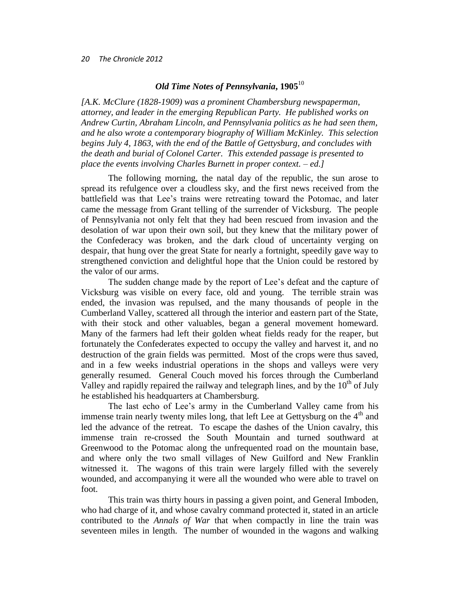#### *20 The Chronicle 2012*

## *Old Time Notes of Pennsylvania***, 1905**<sup>10</sup>

*[A.K. McClure (1828-1909) was a prominent Chambersburg newspaperman, attorney, and leader in the emerging Republican Party. He published works on Andrew Curtin, Abraham Lincoln, and Pennsylvania politics as he had seen them, and he also wrote a contemporary biography of William McKinley. This selection begins July 4, 1863, with the end of the Battle of Gettysburg, and concludes with the death and burial of Colonel Carter. This extended passage is presented to place the events involving Charles Burnett in proper context. – ed.]*

The following morning, the natal day of the republic, the sun arose to spread its refulgence over a cloudless sky, and the first news received from the battlefield was that Lee's trains were retreating toward the Potomac, and later came the message from Grant telling of the surrender of Vicksburg. The people of Pennsylvania not only felt that they had been rescued from invasion and the desolation of war upon their own soil, but they knew that the military power of the Confederacy was broken, and the dark cloud of uncertainty verging on despair, that hung over the great State for nearly a fortnight, speedily gave way to strengthened conviction and delightful hope that the Union could be restored by the valor of our arms.

The sudden change made by the report of Lee's defeat and the capture of Vicksburg was visible on every face, old and young. The terrible strain was ended, the invasion was repulsed, and the many thousands of people in the Cumberland Valley, scattered all through the interior and eastern part of the State, with their stock and other valuables, began a general movement homeward. Many of the farmers had left their golden wheat fields ready for the reaper, but fortunately the Confederates expected to occupy the valley and harvest it, and no destruction of the grain fields was permitted. Most of the crops were thus saved, and in a few weeks industrial operations in the shops and valleys were very generally resumed. General Couch moved his forces through the Cumberland Valley and rapidly repaired the railway and telegraph lines, and by the  $10<sup>th</sup>$  of July he established his headquarters at Chambersburg.

The last echo of Lee's army in the Cumberland Valley came from his immense train nearly twenty miles long, that left Lee at Gettysburg on the 4<sup>th</sup> and led the advance of the retreat. To escape the dashes of the Union cavalry, this immense train re-crossed the South Mountain and turned southward at Greenwood to the Potomac along the unfrequented road on the mountain base, and where only the two small villages of New Guilford and New Franklin witnessed it. The wagons of this train were largely filled with the severely wounded, and accompanying it were all the wounded who were able to travel on foot.

This train was thirty hours in passing a given point, and General Imboden, who had charge of it, and whose cavalry command protected it, stated in an article contributed to the *Annals of War* that when compactly in line the train was seventeen miles in length. The number of wounded in the wagons and walking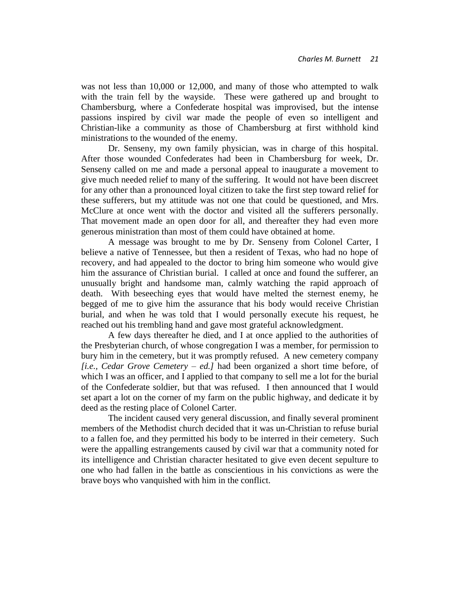was not less than 10,000 or 12,000, and many of those who attempted to walk with the train fell by the wayside. These were gathered up and brought to Chambersburg, where a Confederate hospital was improvised, but the intense passions inspired by civil war made the people of even so intelligent and Christian-like a community as those of Chambersburg at first withhold kind ministrations to the wounded of the enemy.

Dr. Senseny, my own family physician, was in charge of this hospital. After those wounded Confederates had been in Chambersburg for week, Dr. Senseny called on me and made a personal appeal to inaugurate a movement to give much needed relief to many of the suffering. It would not have been discreet for any other than a pronounced loyal citizen to take the first step toward relief for these sufferers, but my attitude was not one that could be questioned, and Mrs. McClure at once went with the doctor and visited all the sufferers personally. That movement made an open door for all, and thereafter they had even more generous ministration than most of them could have obtained at home.

A message was brought to me by Dr. Senseny from Colonel Carter, I believe a native of Tennessee, but then a resident of Texas, who had no hope of recovery, and had appealed to the doctor to bring him someone who would give him the assurance of Christian burial. I called at once and found the sufferer, an unusually bright and handsome man, calmly watching the rapid approach of death. With beseeching eyes that would have melted the sternest enemy, he begged of me to give him the assurance that his body would receive Christian burial, and when he was told that I would personally execute his request, he reached out his trembling hand and gave most grateful acknowledgment.

A few days thereafter he died, and I at once applied to the authorities of the Presbyterian church, of whose congregation I was a member, for permission to bury him in the cemetery, but it was promptly refused. A new cemetery company *[i.e., Cedar Grove Cemetery – ed.]* had been organized a short time before, of which I was an officer, and I applied to that company to sell me a lot for the burial of the Confederate soldier, but that was refused. I then announced that I would set apart a lot on the corner of my farm on the public highway, and dedicate it by deed as the resting place of Colonel Carter.

The incident caused very general discussion, and finally several prominent members of the Methodist church decided that it was un-Christian to refuse burial to a fallen foe, and they permitted his body to be interred in their cemetery. Such were the appalling estrangements caused by civil war that a community noted for its intelligence and Christian character hesitated to give even decent sepulture to one who had fallen in the battle as conscientious in his convictions as were the brave boys who vanquished with him in the conflict.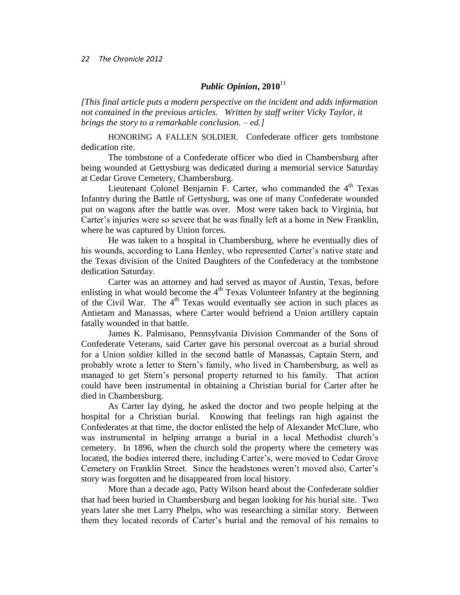#### *22 The Chronicle 2012*

# *Public Opinion***, 2010**<sup>11</sup>

*[This final article puts a modern perspective on the incident and adds information not contained in the previous articles. Written by staff writer Vicky Taylor, it brings the story to a remarkable conclusion. – ed.]*

HONORING A FALLEN SOLDIER. Confederate officer gets tombstone dedication rite.

The tombstone of a Confederate officer who died in Chambersburg after being wounded at Gettysburg was dedicated during a memorial service Saturday at Cedar Grove Cemetery, Chambersburg.

Lieutenant Colonel Benjamin F. Carter, who commanded the  $4<sup>th</sup>$  Texas Infantry during the Battle of Gettysburg, was one of many Confederate wounded put on wagons after the battle was over. Most were taken back to Virginia, but Carter's injuries were so severe that he was finally left at a home in New Franklin, where he was captured by Union forces.

He was taken to a hospital in Chambersburg, where he eventually dies of his wounds, according to Lana Henley, who represented Carter's native state and the Texas division of the United Daughters of the Confederacy at the tombstone dedication Saturday.

Carter was an attorney and had served as mayor of Austin, Texas, before enlisting in what would become the  $4<sup>th</sup>$  Texas Volunteer Infantry at the beginning of the Civil War. The  $4<sup>th</sup>$  Texas would eventually see action in such places as Antietam and Manassas, where Carter would befriend a Union artillery captain fatally wounded in that battle.

James K. Palmisano, Pennsylvania Division Commander of the Sons of Confederate Veterans, said Carter gave his personal overcoat as a burial shroud for a Union soldier killed in the second battle of Manassas, Captain Stern, and probably wrote a letter to Stern's family, who lived in Chambersburg, as well as managed to get Stern's personal property returned to his family. That action could have been instrumental in obtaining a Christian burial for Carter after he died in Chambersburg.

As Carter lay dying, he asked the doctor and two people helping at the hospital for a Christian burial. Knowing that feelings ran high against the Confederates at that time, the doctor enlisted the help of Alexander McClure, who was instrumental in helping arrange a burial in a local Methodist church's cemetery. In 1896, when the church sold the property where the cemetery was located, the bodies interred there, including Carter's, were moved to Cedar Grove Cemetery on Franklin Street. Since the headstones weren't moved also, Carter's story was forgotten and he disappeared from local history.

More than a decade ago, Patty Wilson heard about the Confederate soldier that had been buried in Chambersburg and began looking for his burial site. Two years later she met Larry Phelps, who was researching a similar story. Between them they located records of Carter's burial and the removal of his remains to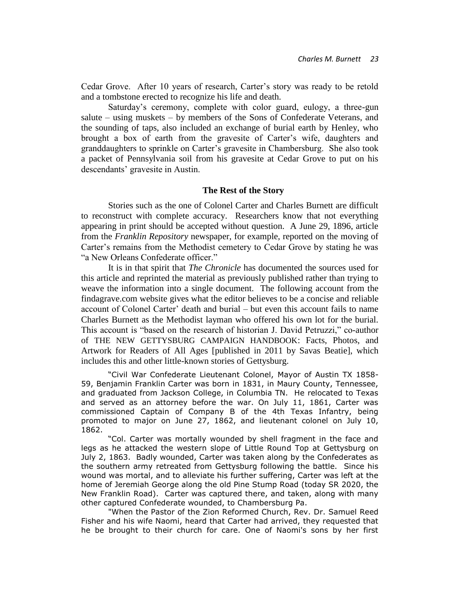Cedar Grove. After 10 years of research, Carter's story was ready to be retold and a tombstone erected to recognize his life and death.

Saturday's ceremony, complete with color guard, eulogy, a three-gun salute – using muskets – by members of the Sons of Confederate Veterans, and the sounding of taps, also included an exchange of burial earth by Henley, who brought a box of earth from the gravesite of Carter's wife, daughters and granddaughters to sprinkle on Carter's gravesite in Chambersburg. She also took a packet of Pennsylvania soil from his gravesite at Cedar Grove to put on his descendants' gravesite in Austin.

### **The Rest of the Story**

Stories such as the one of Colonel Carter and Charles Burnett are difficult to reconstruct with complete accuracy. Researchers know that not everything appearing in print should be accepted without question. A June 29, 1896, article from the *Franklin Repository* newspaper, for example, reported on the moving of Carter's remains from the Methodist cemetery to Cedar Grove by stating he was "a New Orleans Confederate officer."

It is in that spirit that *The Chronicle* has documented the sources used for this article and reprinted the material as previously published rather than trying to weave the information into a single document. The following account from the findagrave.com website gives what the editor believes to be a concise and reliable account of Colonel Carter' death and burial – but even this account fails to name Charles Burnett as the Methodist layman who offered his own lot for the burial. This account is "based on the research of historian J. David Petruzzi," co-author of THE NEW GETTYSBURG CAMPAIGN HANDBOOK: Facts, Photos, and Artwork for Readers of All Ages [published in 2011 by Savas Beatie], which includes this and other little-known stories of Gettysburg.

"Civil War Confederate Lieutenant Colonel, Mayor of Austin TX 1858- 59, Benjamin Franklin Carter was born in 1831, in Maury County, Tennessee, and graduated from Jackson College, in Columbia TN. He relocated to Texas and served as an attorney before the war. On July 11, 1861, Carter was commissioned Captain of Company B of the 4th Texas Infantry, being promoted to major on June 27, 1862, and lieutenant colonel on July 10, 1862.

"Col. Carter was mortally wounded by shell fragment in the face and legs as he attacked the western slope of Little Round Top at Gettysburg on July 2, 1863. Badly wounded, Carter was taken along by the Confederates as the southern army retreated from Gettysburg following the battle. Since his wound was mortal, and to alleviate his further suffering, Carter was left at the home of Jeremiah George along the old Pine Stump Road (today SR 2020, the New Franklin Road). Carter was captured there, and taken, along with many other captured Confederate wounded, to Chambersburg Pa.

"When the Pastor of the Zion Reformed Church, Rev. Dr. Samuel Reed Fisher and his wife Naomi, heard that Carter had arrived, they requested that he be brought to their church for care. One of Naomi's sons by her first